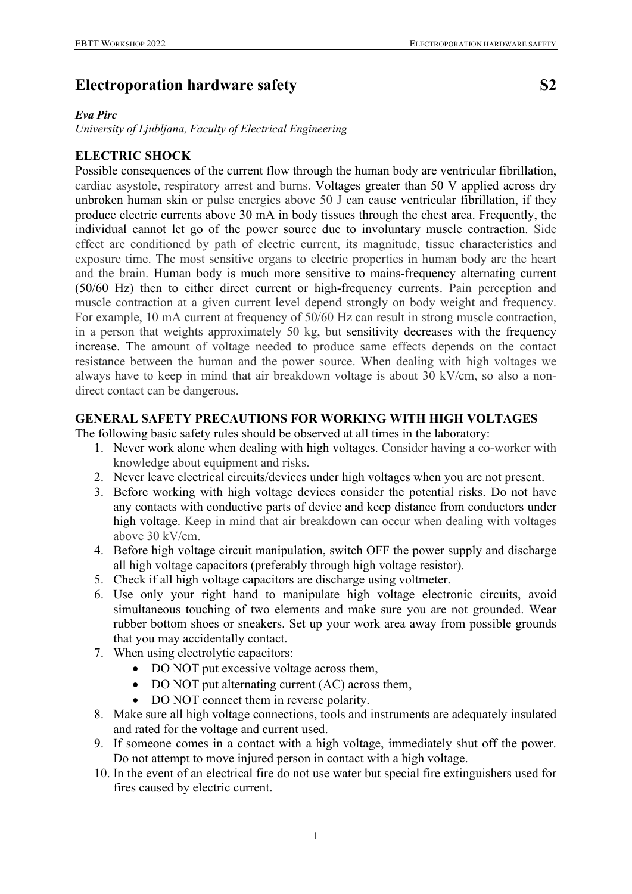## **Electroporation hardware safety S2**

## *Eva Pirc*

*University of Ljubljana, Faculty of Electrical Engineering*

## **ELECTRIC SHOCK**

Possible consequences of the current flow through the human body are ventricular fibrillation, cardiac asystole, respiratory arrest and burns. Voltages greater than 50 V applied across dry unbroken human skin or pulse energies above 50 J can cause ventricular fibrillation, if they produce electric currents above 30 mA in body tissues through the chest area. Frequently, the individual cannot let go of the power source due to involuntary muscle contraction. Side effect are conditioned by path of electric current, its magnitude, tissue characteristics and exposure time. The most sensitive organs to electric properties in human body are the heart and the brain. Human body is much more sensitive to mains-frequency alternating current (50/60 Hz) then to either direct current or high-frequency currents. Pain perception and muscle contraction at a given current level depend strongly on body weight and frequency. For example, 10 mA current at frequency of 50/60 Hz can result in strong muscle contraction, in a person that weights approximately 50 kg, but sensitivity decreases with the frequency increase. The amount of voltage needed to produce same effects depends on the contact resistance between the human and the power source. When dealing with high voltages we always have to keep in mind that air breakdown voltage is about 30 kV/cm, so also a nondirect contact can be dangerous.

## **GENERAL SAFETY PRECAUTIONS FOR WORKING WITH HIGH VOLTAGES**

The following basic safety rules should be observed at all times in the laboratory:

- 1. Never work alone when dealing with high voltages. Consider having a co-worker with knowledge about equipment and risks.
- 2. Never leave electrical circuits/devices under high voltages when you are not present.
- 3. Before working with high voltage devices consider the potential risks. Do not have any contacts with conductive parts of device and keep distance from conductors under high voltage. Keep in mind that air breakdown can occur when dealing with voltages above 30 kV/cm.
- 4. Before high voltage circuit manipulation, switch OFF the power supply and discharge all high voltage capacitors (preferably through high voltage resistor).
- 5. Check if all high voltage capacitors are discharge using voltmeter.
- 6. Use only your right hand to manipulate high voltage electronic circuits, avoid simultaneous touching of two elements and make sure you are not grounded. Wear rubber bottom shoes or sneakers. Set up your work area away from possible grounds that you may accidentally contact.
- 7. When using electrolytic capacitors:
	- DO NOT put excessive voltage across them,
	- DO NOT put alternating current (AC) across them,
	- DO NOT connect them in reverse polarity.
- 8. Make sure all high voltage connections, tools and instruments are adequately insulated and rated for the voltage and current used.
- 9. If someone comes in a contact with a high voltage, immediately shut off the power. Do not attempt to move injured person in contact with a high voltage.
- 10. In the event of an electrical fire do not use water but special fire extinguishers used for fires caused by electric current.

1